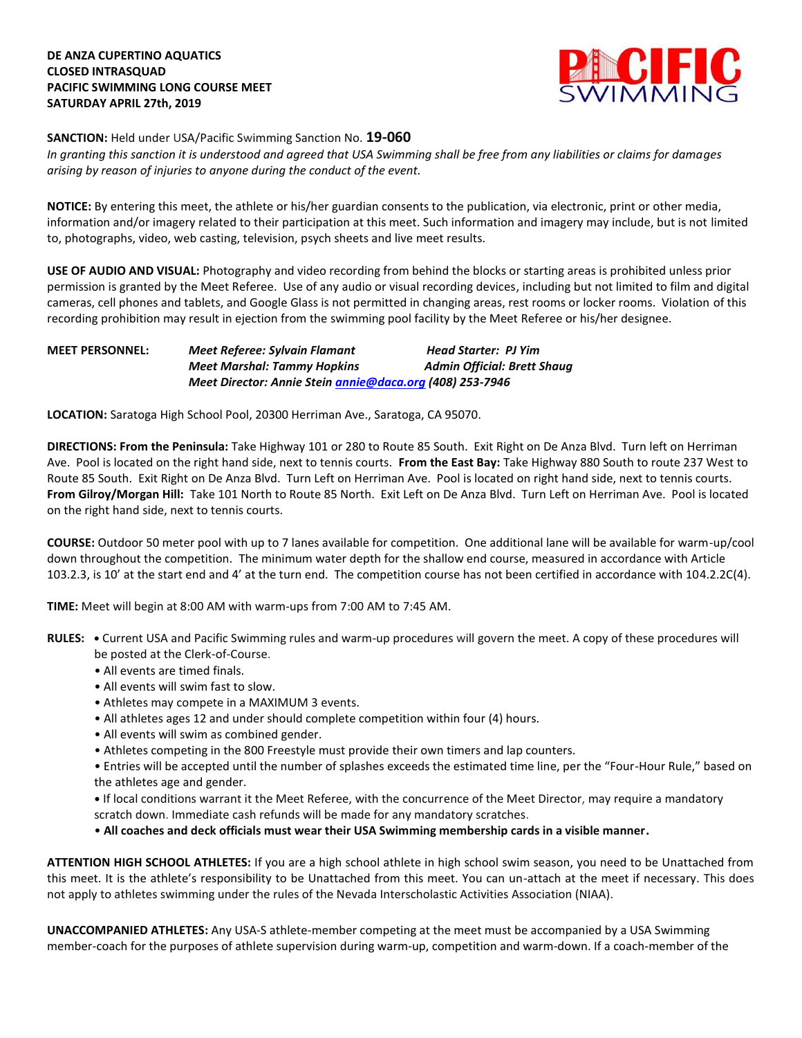

**SANCTION:** Held under USA/Pacific Swimming Sanction No. **19-060**

*In granting this sanction it is understood and agreed that USA Swimming shall be free from any liabilities or claims for damages arising by reason of injuries to anyone during the conduct of the event.* 

**NOTICE:** By entering this meet, the athlete or his/her guardian consents to the publication, via electronic, print or other media, information and/or imagery related to their participation at this meet. Such information and imagery may include, but is not limited to, photographs, video, web casting, television, psych sheets and live meet results.

**USE OF AUDIO AND VISUAL:** Photography and video recording from behind the blocks or starting areas is prohibited unless prior permission is granted by the Meet Referee. Use of any audio or visual recording devices, including but not limited to film and digital cameras, cell phones and tablets, and Google Glass is not permitted in changing areas, rest rooms or locker rooms. Violation of this recording prohibition may result in ejection from the swimming pool facility by the Meet Referee or his/her designee.

## **MEET PERSONNEL:** *Meet Referee: Sylvain Flamant Head Starter: PJ Yim Meet Marshal: Tammy Hopkins* Admin Official: Brett Shaug *Meet Director: Annie Stein [annie@daca.org](mailto:annie@daca.org) (408) 253-7946*

**LOCATION:** Saratoga High School Pool, 20300 Herriman Ave., Saratoga, CA 95070.

**DIRECTIONS: From the Peninsula:** Take Highway 101 or 280 to Route 85 South. Exit Right on De Anza Blvd. Turn left on Herriman Ave. Pool is located on the right hand side, next to tennis courts. **From the East Bay:** Take Highway 880 South to route 237 West to Route 85 South. Exit Right on De Anza Blvd. Turn Left on Herriman Ave. Pool is located on right hand side, next to tennis courts. **From Gilroy/Morgan Hill:** Take 101 North to Route 85 North. Exit Left on De Anza Blvd. Turn Left on Herriman Ave. Pool is located on the right hand side, next to tennis courts.

**COURSE:** Outdoor 50 meter pool with up to 7 lanes available for competition. One additional lane will be available for warm-up/cool down throughout the competition. The minimum water depth for the shallow end course, measured in accordance with Article 103.2.3, is 10' at the start end and 4' at the turn end. The competition course has not been certified in accordance with 104.2.2C(4).

**TIME:** Meet will begin at 8:00 AM with warm-ups from 7:00 AM to 7:45 AM.

- **RULES: •** Current USA and Pacific Swimming rules and warm-up procedures will govern the meet. A copy of these procedures will be posted at the Clerk-of-Course.
	- All events are timed finals.
	- All events will swim fast to slow.
	- Athletes may compete in a MAXIMUM 3 events.
	- All athletes ages 12 and under should complete competition within four (4) hours.
	- All events will swim as combined gender.
	- Athletes competing in the 800 Freestyle must provide their own timers and lap counters.

• Entries will be accepted until the number of splashes exceeds the estimated time line, per the "Four-Hour Rule," based on the athletes age and gender.

**•** If local conditions warrant it the Meet Referee, with the concurrence of the Meet Director, may require a mandatory scratch down. Immediate cash refunds will be made for any mandatory scratches.

• **All coaches and deck officials must wear their USA Swimming membership cards in a visible manner.** 

**ATTENTION HIGH SCHOOL ATHLETES:** If you are a high school athlete in high school swim season, you need to be Unattached from this meet. It is the athlete's responsibility to be Unattached from this meet. You can un-attach at the meet if necessary. This does not apply to athletes swimming under the rules of the Nevada Interscholastic Activities Association (NIAA).

**UNACCOMPANIED ATHLETES:** Any USA-S athlete-member competing at the meet must be accompanied by a USA Swimming member-coach for the purposes of athlete supervision during warm-up, competition and warm-down. If a coach-member of the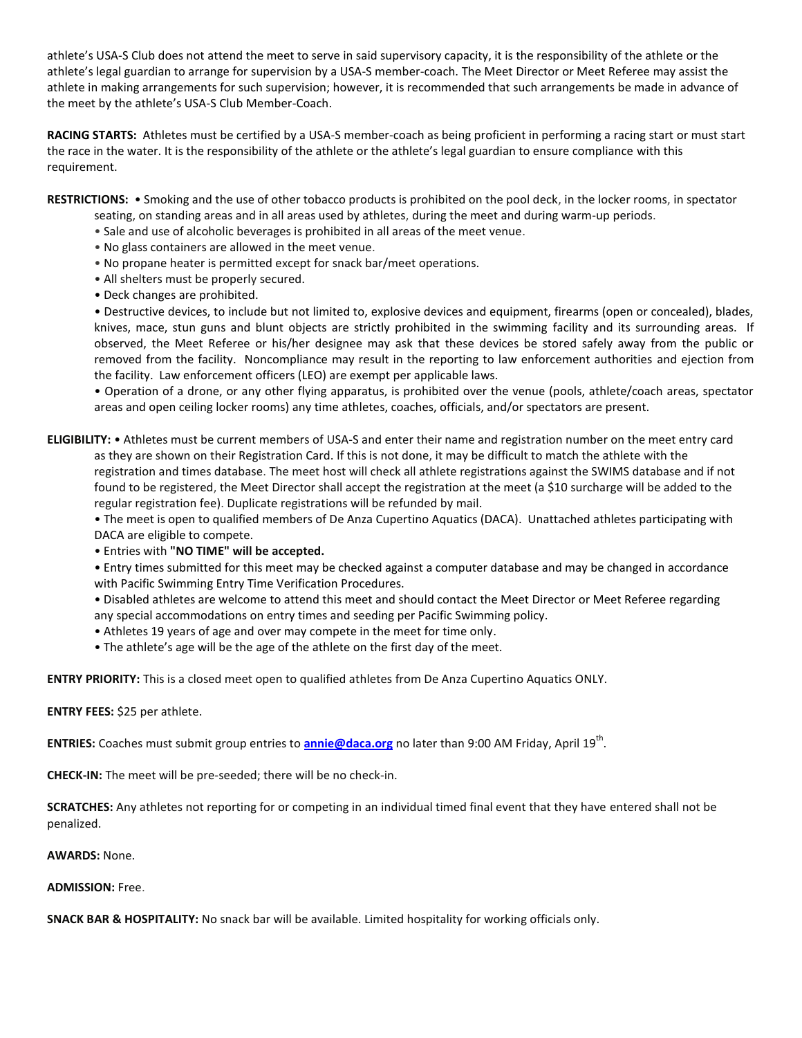athlete's USA-S Club does not attend the meet to serve in said supervisory capacity, it is the responsibility of the athlete or the athlete's legal guardian to arrange for supervision by a USA-S member-coach. The Meet Director or Meet Referee may assist the athlete in making arrangements for such supervision; however, it is recommended that such arrangements be made in advance of the meet by the athlete's USA-S Club Member-Coach.

**RACING STARTS:** Athletes must be certified by a USA-S member-coach as being proficient in performing a racing start or must start the race in the water. It is the responsibility of the athlete or the athlete's legal guardian to ensure compliance with this requirement.

**RESTRICTIONS:** • Smoking and the use of other tobacco products is prohibited on the pool deck, in the locker rooms, in spectator

- seating, on standing areas and in all areas used by athletes, during the meet and during warm-up periods.
- Sale and use of alcoholic beverages is prohibited in all areas of the meet venue.
- No glass containers are allowed in the meet venue.
- No propane heater is permitted except for snack bar/meet operations.
- All shelters must be properly secured.
- Deck changes are prohibited.

• Destructive devices, to include but not limited to, explosive devices and equipment, firearms (open or concealed), blades, knives, mace, stun guns and blunt objects are strictly prohibited in the swimming facility and its surrounding areas. If observed, the Meet Referee or his/her designee may ask that these devices be stored safely away from the public or removed from the facility. Noncompliance may result in the reporting to law enforcement authorities and ejection from the facility. Law enforcement officers (LEO) are exempt per applicable laws.

• Operation of a drone, or any other flying apparatus, is prohibited over the venue (pools, athlete/coach areas, spectator areas and open ceiling locker rooms) any time athletes, coaches, officials, and/or spectators are present.

## **ELIGIBILITY:** • Athletes must be current members of USA-S and enter their name and registration number on the meet entry card as they are shown on their Registration Card. If this is not done, it may be difficult to match the athlete with the registration and times database. The meet host will check all athlete registrations against the SWIMS database and if not found to be registered, the Meet Director shall accept the registration at the meet (a \$10 surcharge will be added to the regular registration fee). Duplicate registrations will be refunded by mail.

• The meet is open to qualified members of De Anza Cupertino Aquatics (DACA). Unattached athletes participating with DACA are eligible to compete.

### • Entries with **"NO TIME" will be accepted.**

• Entry times submitted for this meet may be checked against a computer database and may be changed in accordance with Pacific Swimming Entry Time Verification Procedures.

• Disabled athletes are welcome to attend this meet and should contact the Meet Director or Meet Referee regarding any special accommodations on entry times and seeding per Pacific Swimming policy.

- Athletes 19 years of age and over may compete in the meet for time only.
- The athlete's age will be the age of the athlete on the first day of the meet.

**ENTRY PRIORITY:** This is a closed meet open to qualified athletes from De Anza Cupertino Aquatics ONLY.

### **ENTRY FEES:** \$25 per athlete.

**ENTRIES:** Coaches must submit group entries to **[annie@daca.org](mailto:annie@daca.org)** no later than 9:00 AM Friday, April 19<sup>th</sup>.

**CHECK-IN:** The meet will be pre-seeded; there will be no check-in.

**SCRATCHES:** Any athletes not reporting for or competing in an individual timed final event that they have entered shall not be penalized.

#### **AWARDS:** None.

#### **ADMISSION:** Free.

**SNACK BAR & HOSPITALITY:** No snack bar will be available. Limited hospitality for working officials only.